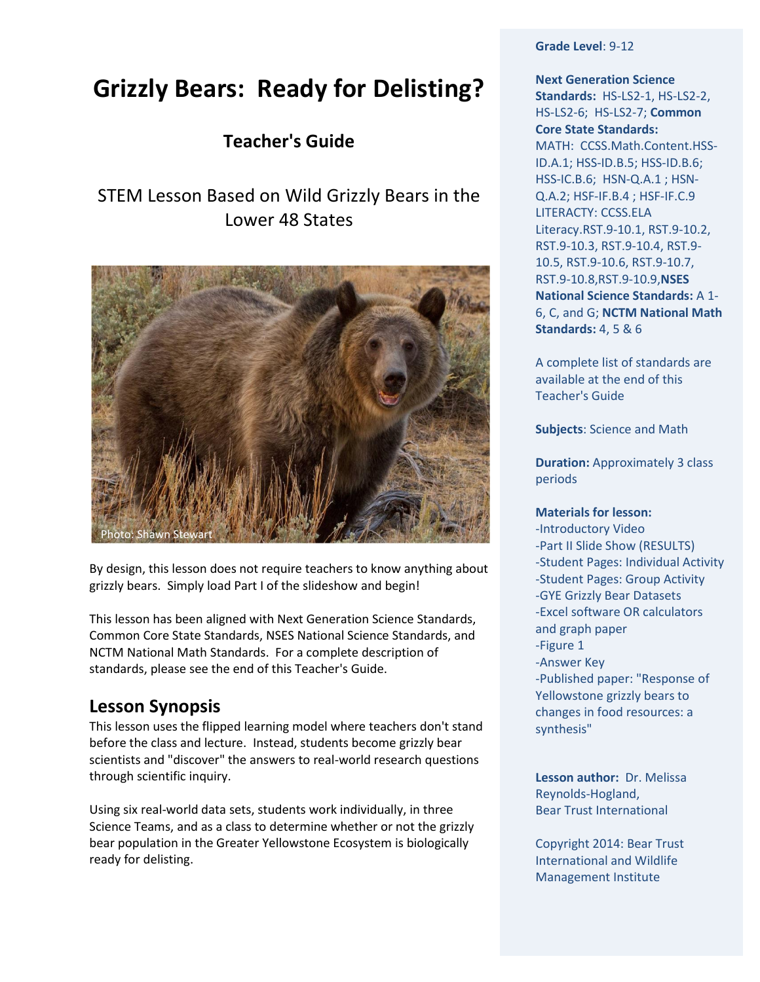# **Grizzly Bears: Ready for Delisting?**

# **Teacher's Guide**

# STEM Lesson Based on Wild Grizzly Bears in the Lower 48 States



By design, this lesson does not require teachers to know anything about grizzly bears. Simply load Part I of the slideshow and begin!

This lesson has been aligned with Next Generation Science Standards, Common Core State Standards, NSES National Science Standards, and NCTM National Math Standards. For a complete description of standards, please see the end of this Teacher's Guide.

# **Lesson Synopsis**

This lesson uses the flipped learning model where teachers don't stand before the class and lecture. Instead, students become grizzly bear scientists and "discover" the answers to real-world research questions through scientific inquiry.

Using six real-world data sets, students work individually, in three Science Teams, and as a class to determine whether or not the grizzly bear population in the Greater Yellowstone Ecosystem is biologically ready for delisting.

**Grade Level**: 9-12

**Next Generation Science Standards:** HS-LS2-1, HS-LS2-2, HS-LS2-6;HS-LS2-7; **Common Core State Standards:**  MATH: [CCSS.Math.Content.HSS-](http://www.corestandards.org/Math/Content/HSS/ID/A/1)[ID.A.1;](http://www.corestandards.org/Math/Content/HSS/ID/A/1) [HSS-ID.B.5;](http://www.corestandards.org/Math/Content/HSS/ID/B/5) [HSS-ID.B.6;](http://www.corestandards.org/Math/Content/HSS/ID/B/6) [HSS-IC.B.6;](http://www.corestandards.org/Math/Content/HSS/IC/B/6) [HSN-Q.A.1](http://www.corestandards.org/Math/Content/HSN/Q/A/1) [; HSN-](http://www.corestandards.org/Math/Content/HSN/Q/A/2)[Q.A.2;](http://www.corestandards.org/Math/Content/HSN/Q/A/2) [HSF-IF.B.4](http://www.corestandards.org/Math/Content/HSF/IF/B/4) ; [HSF-IF.C.9](http://www.corestandards.org/Math/Content/HSF/IF/C/9) LITERACTY: [CCSS.ELA](http://www.corestandards.org/ELA-Literacy/RST/9-10/1/)  [Literacy.RST.9-10.1,](http://www.corestandards.org/ELA-Literacy/RST/9-10/1/) RST.9-10.2, RST.9-10.3, RST.9-10.4, RST.9- 10.5, RST.9-10.6, RST.9-10.7, RST.9-10.8,RST.9-10.9,**NSES National Science Standards:** A 1- 6, C, and G; **NCTM National Math Standards:** 4, 5 & 6

A complete list of standards are available at the end of this Teacher's Guide

**Subjects**: Science and Math

**Duration:** Approximately 3 class periods

### **Materials for lesson:**

-Introductory Video -Part II Slide Show (RESULTS) -Student Pages: Individual Activity -Student Pages: Group Activity -GYE Grizzly Bear Datasets -Excel software OR calculators and graph paper -Figure 1 -Answer Key -Published paper: "Response of Yellowstone grizzly bears to changes in food resources: a synthesis"

**Lesson author:** Dr. Melissa Reynolds-Hogland, Bear Trust International

Copyright 2014: Bear Trust International and Wildlife Management Institute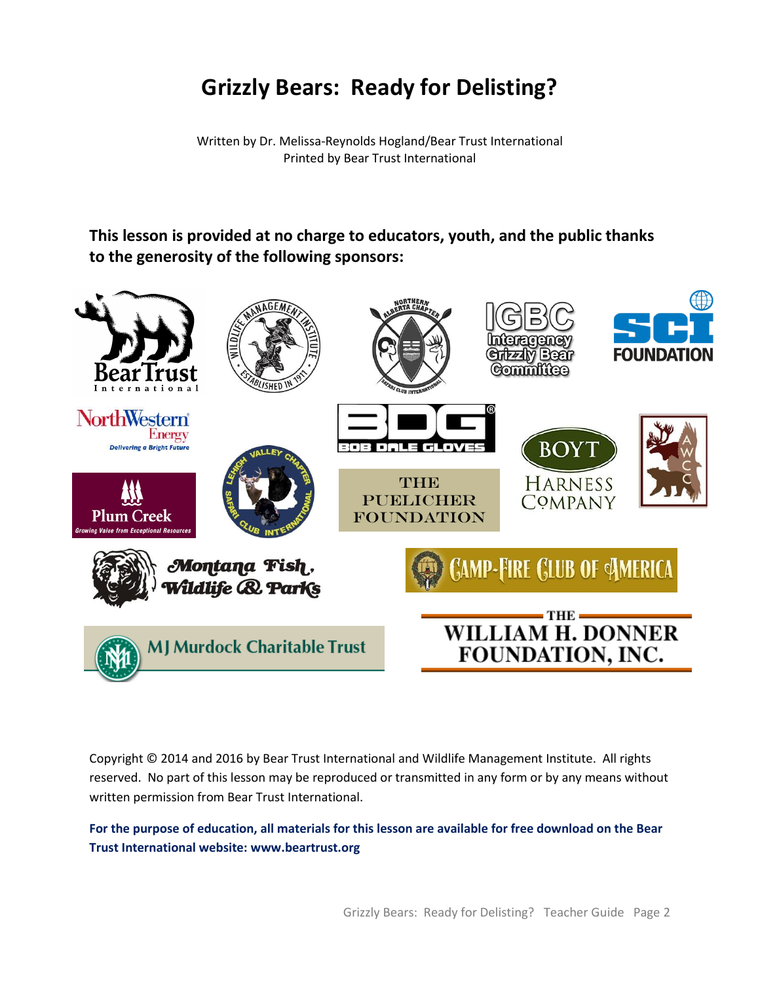# **Grizzly Bears: Ready for Delisting?**

Written by Dr. Melissa-Reynolds Hogland/Bear Trust International Printed by Bear Trust International

# **This lesson is provided at no charge to educators, youth, and the public thanks to the generosity of the following sponsors:**



Copyright © 2014 and 2016 by Bear Trust International and Wildlife Management Institute. All rights reserved. No part of this lesson may be reproduced or transmitted in any form or by any means without written permission from Bear Trust International.

**For the purpose of education, all materials for this lesson are available for free download on the Bear Trust International website: [www.beartrust.org](http://www.beartrust.org/)**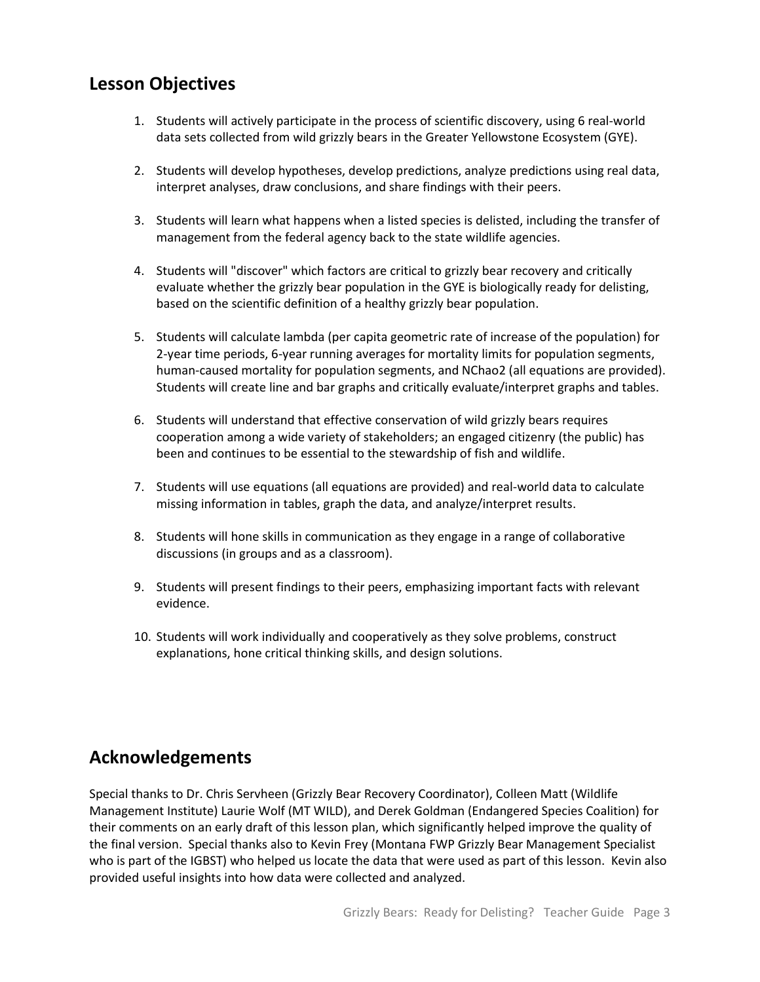# **Lesson Objectives**

- 1. Students will actively participate in the process of scientific discovery, using 6 real-world data sets collected from wild grizzly bears in the Greater Yellowstone Ecosystem (GYE).
- 2. Students will develop hypotheses, develop predictions, analyze predictions using real data, interpret analyses, draw conclusions, and share findings with their peers.
- 3. Students will learn what happens when a listed species is delisted, including the transfer of management from the federal agency back to the state wildlife agencies.
- 4. Students will "discover" which factors are critical to grizzly bear recovery and critically evaluate whether the grizzly bear population in the GYE is biologically ready for delisting, based on the scientific definition of a healthy grizzly bear population.
- 5. Students will calculate lambda (per capita geometric rate of increase of the population) for 2-year time periods, 6-year running averages for mortality limits for population segments, human-caused mortality for population segments, and NChao2 (all equations are provided). Students will create line and bar graphs and critically evaluate/interpret graphs and tables.
- 6. Students will understand that effective conservation of wild grizzly bears requires cooperation among a wide variety of stakeholders; an engaged citizenry (the public) has been and continues to be essential to the stewardship of fish and wildlife.
- 7. Students will use equations (all equations are provided) and real-world data to calculate missing information in tables, graph the data, and analyze/interpret results.
- 8. Students will hone skills in communication as they engage in a range of collaborative discussions (in groups and as a classroom).
- 9. Students will present findings to their peers, emphasizing important facts with relevant evidence.
- 10. Students will work individually and cooperatively as they solve problems, construct explanations, hone critical thinking skills, and design solutions.

# **Acknowledgements**

Special thanks to Dr. Chris Servheen (Grizzly Bear Recovery Coordinator), Colleen Matt (Wildlife Management Institute) Laurie Wolf (MT WILD), and Derek Goldman (Endangered Species Coalition) for their comments on an early draft of this lesson plan, which significantly helped improve the quality of the final version. Special thanks also to Kevin Frey (Montana FWP Grizzly Bear Management Specialist who is part of the IGBST) who helped us locate the data that were used as part of this lesson. Kevin also provided useful insights into how data were collected and analyzed.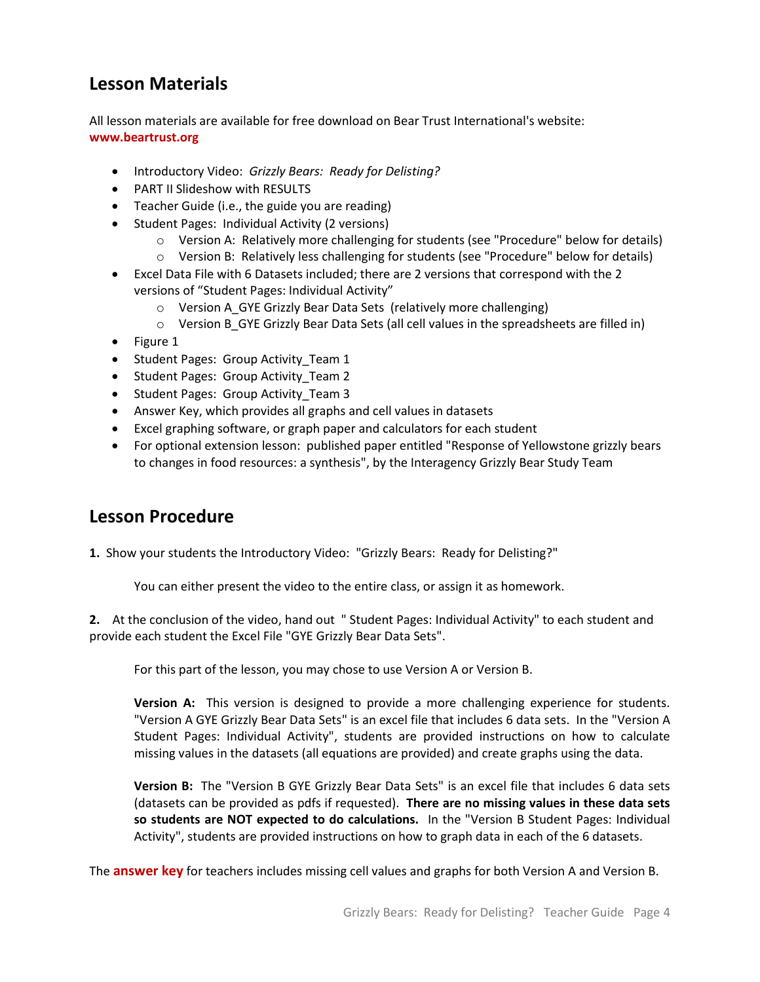# **Lesson Materials**

All lesson materials are available for free download on Bear Trust International's website: **www.beartrust.org**

- Introductory Video: *Grizzly Bears: Ready for Delisting?*
- PART II Slideshow with RESULTS
- Teacher Guide (i.e., the guide you are reading)
- Student Pages: Individual Activity (2 versions)
	- o Version A: Relatively more challenging for students (see "Procedure" below for details)
	- o Version B: Relatively less challenging for students (see "Procedure" below for details)
- Excel Data File with 6 Datasets included; there are 2 versions that correspond with the 2 versions of "Student Pages: Individual Activity"
	- o Version A\_GYE Grizzly Bear Data Sets (relatively more challenging)
	- $\circ$  Version B GYE Grizzly Bear Data Sets (all cell values in the spreadsheets are filled in)
- Figure 1
- Student Pages: Group Activity\_Team 1
- Student Pages: Group Activity Team 2
- Student Pages: Group Activity\_Team 3
- Answer Key, which provides all graphs and cell values in datasets
- Excel graphing software, or graph paper and calculators for each student
- For optional extension lesson: published paper entitled "Response of Yellowstone grizzly bears to changes in food resources: a synthesis", by the Interagency Grizzly Bear Study Team

# **Lesson Procedure**

**1.** Show your students the Introductory Video: "Grizzly Bears: Ready for Delisting?"

You can either present the video to the entire class, or assign it as homework.

**2.** At the conclusion of the video, hand out " Student Pages: Individual Activity" to each student and provide each student the Excel File "GYE Grizzly Bear Data Sets".

For this part of the lesson, you may chose to use Version A or Version B.

**Version A:** This version is designed to provide a more challenging experience for students. "Version A GYE Grizzly Bear Data Sets" is an excel file that includes 6 data sets. In the "Version A Student Pages: Individual Activity", students are provided instructions on how to calculate missing values in the datasets (all equations are provided) and create graphs using the data.

**Version B:** The "Version B GYE Grizzly Bear Data Sets" is an excel file that includes 6 data sets (datasets can be provided as pdfs if requested). **There are no missing values in these data sets so students are NOT expected to do calculations.** In the "Version B Student Pages: Individual Activity", students are provided instructions on how to graph data in each of the 6 datasets.

The **answer key** for teachers includes missing cell values and graphs for both Version A and Version B.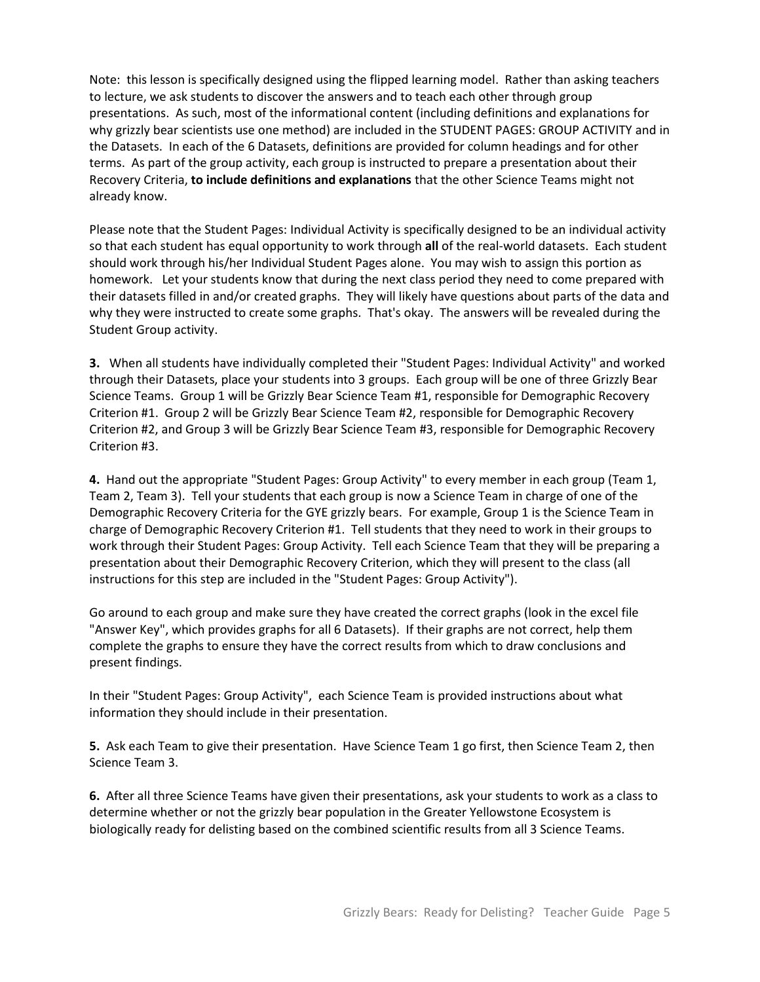Note: this lesson is specifically designed using the flipped learning model. Rather than asking teachers to lecture, we ask students to discover the answers and to teach each other through group presentations. As such, most of the informational content (including definitions and explanations for why grizzly bear scientists use one method) are included in the STUDENT PAGES: GROUP ACTIVITY and in the Datasets. In each of the 6 Datasets, definitions are provided for column headings and for other terms. As part of the group activity, each group is instructed to prepare a presentation about their Recovery Criteria, **to include definitions and explanations** that the other Science Teams might not already know.

Please note that the Student Pages: Individual Activity is specifically designed to be an individual activity so that each student has equal opportunity to work through **all** of the real-world datasets. Each student should work through his/her Individual Student Pages alone. You may wish to assign this portion as homework. Let your students know that during the next class period they need to come prepared with their datasets filled in and/or created graphs. They will likely have questions about parts of the data and why they were instructed to create some graphs. That's okay. The answers will be revealed during the Student Group activity.

**3.** When all students have individually completed their "Student Pages: Individual Activity" and worked through their Datasets, place your students into 3 groups. Each group will be one of three Grizzly Bear Science Teams. Group 1 will be Grizzly Bear Science Team #1, responsible for Demographic Recovery Criterion #1. Group 2 will be Grizzly Bear Science Team #2, responsible for Demographic Recovery Criterion #2, and Group 3 will be Grizzly Bear Science Team #3, responsible for Demographic Recovery Criterion #3.

**4.** Hand out the appropriate "Student Pages: Group Activity" to every member in each group (Team 1, Team 2, Team 3). Tell your students that each group is now a Science Team in charge of one of the Demographic Recovery Criteria for the GYE grizzly bears. For example, Group 1 is the Science Team in charge of Demographic Recovery Criterion #1. Tell students that they need to work in their groups to work through their Student Pages: Group Activity. Tell each Science Team that they will be preparing a presentation about their Demographic Recovery Criterion, which they will present to the class (all instructions for this step are included in the "Student Pages: Group Activity").

Go around to each group and make sure they have created the correct graphs (look in the excel file "Answer Key", which provides graphs for all 6 Datasets). If their graphs are not correct, help them complete the graphs to ensure they have the correct results from which to draw conclusions and present findings.

In their "Student Pages: Group Activity", each Science Team is provided instructions about what information they should include in their presentation.

**5.** Ask each Team to give their presentation. Have Science Team 1 go first, then Science Team 2, then Science Team 3.

**6.** After all three Science Teams have given their presentations, ask your students to work as a class to determine whether or not the grizzly bear population in the Greater Yellowstone Ecosystem is biologically ready for delisting based on the combined scientific results from all 3 Science Teams.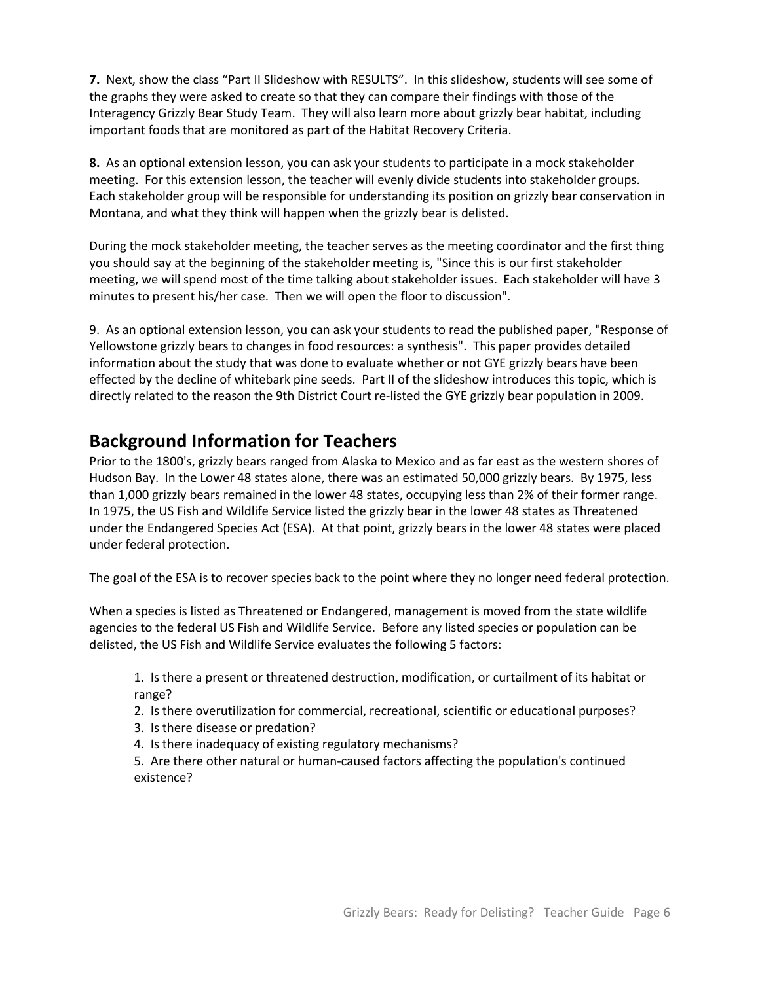**7.** Next, show the class "Part II Slideshow with RESULTS". In this slideshow, students will see some of the graphs they were asked to create so that they can compare their findings with those of the Interagency Grizzly Bear Study Team. They will also learn more about grizzly bear habitat, including important foods that are monitored as part of the Habitat Recovery Criteria.

**8.** As an optional extension lesson, you can ask your students to participate in a mock stakeholder meeting. For this extension lesson, the teacher will evenly divide students into stakeholder groups. Each stakeholder group will be responsible for understanding its position on grizzly bear conservation in Montana, and what they think will happen when the grizzly bear is delisted.

During the mock stakeholder meeting, the teacher serves as the meeting coordinator and the first thing you should say at the beginning of the stakeholder meeting is, "Since this is our first stakeholder meeting, we will spend most of the time talking about stakeholder issues. Each stakeholder will have 3 minutes to present his/her case. Then we will open the floor to discussion".

9. As an optional extension lesson, you can ask your students to read the published paper, "Response of Yellowstone grizzly bears to changes in food resources: a synthesis". This paper provides detailed information about the study that was done to evaluate whether or not GYE grizzly bears have been effected by the decline of whitebark pine seeds. Part II of the slideshow introduces this topic, which is directly related to the reason the 9th District Court re-listed the GYE grizzly bear population in 2009.

# **Background Information for Teachers**

Prior to the 1800's, grizzly bears ranged from Alaska to Mexico and as far east as the western shores of Hudson Bay. In the Lower 48 states alone, there was an estimated 50,000 grizzly bears. By 1975, less than 1,000 grizzly bears remained in the lower 48 states, occupying less than 2% of their former range. In 1975, the US Fish and Wildlife Service listed the grizzly bear in the lower 48 states as Threatened under the Endangered Species Act (ESA). At that point, grizzly bears in the lower 48 states were placed under federal protection.

The goal of the ESA is to recover species back to the point where they no longer need federal protection.

When a species is listed as Threatened or Endangered, management is moved from the state wildlife agencies to the federal US Fish and Wildlife Service. Before any listed species or population can be delisted, the US Fish and Wildlife Service evaluates the following 5 factors:

1. Is there a present or threatened destruction, modification, or curtailment of its habitat or range?

2. Is there overutilization for commercial, recreational, scientific or educational purposes?

- 3. Is there disease or predation?
- 4. Is there inadequacy of existing regulatory mechanisms?

5. Are there other natural or human-caused factors affecting the population's continued existence?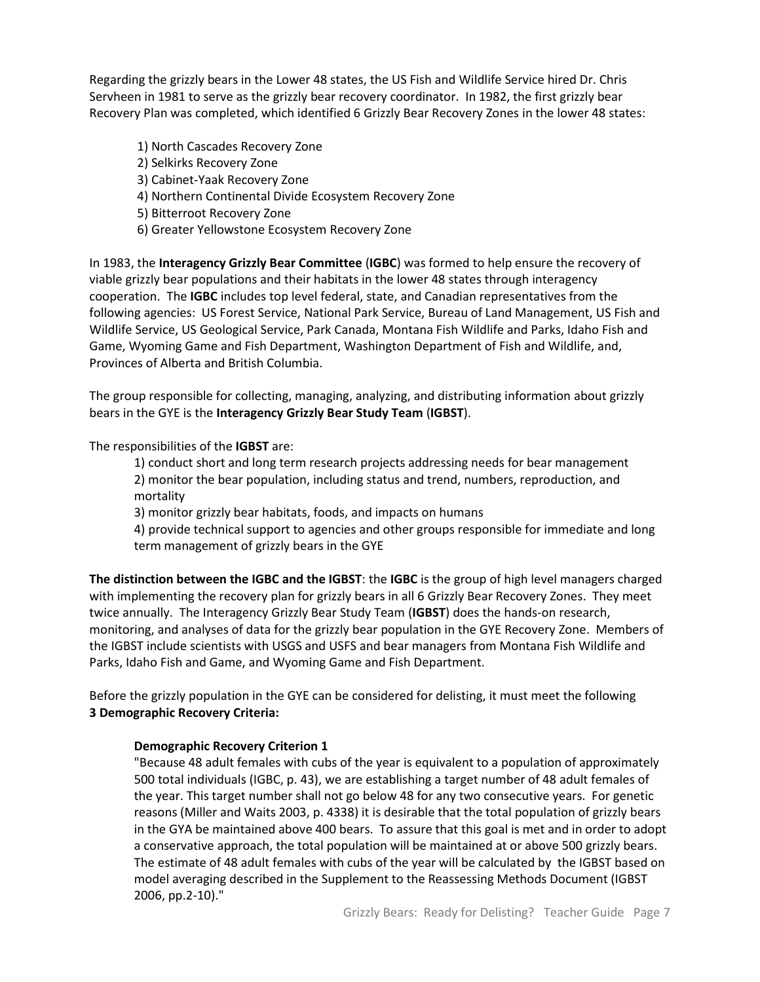Regarding the grizzly bears in the Lower 48 states, the US Fish and Wildlife Service hired Dr. Chris Servheen in 1981 to serve as the grizzly bear recovery coordinator. In 1982, the first grizzly bear Recovery Plan was completed, which identified 6 Grizzly Bear Recovery Zones in the lower 48 states:

1) North Cascades Recovery Zone 2) Selkirks Recovery Zone 3) Cabinet-Yaak Recovery Zone 4) Northern Continental Divide Ecosystem Recovery Zone 5) Bitterroot Recovery Zone 6) Greater Yellowstone Ecosystem Recovery Zone

In 1983, the **Interagency Grizzly Bear Committee** (**IGBC**) was formed to help ensure the recovery of viable grizzly bear populations and their habitats in the lower 48 states through interagency cooperation. The **IGBC** includes top level federal, state, and Canadian representatives from the following agencies: US Forest Service, National Park Service, Bureau of Land Management, US Fish and Wildlife Service, US Geological Service, Park Canada, Montana Fish Wildlife and Parks, Idaho Fish and Game, Wyoming Game and Fish Department, Washington Department of Fish and Wildlife, and, Provinces of Alberta and British Columbia.

The group responsible for collecting, managing, analyzing, and distributing information about grizzly bears in the GYE is the **Interagency Grizzly Bear Study Team** (**IGBST**).

The responsibilities of the **IGBST** are:

1) conduct short and long term research projects addressing needs for bear management 2) monitor the bear population, including status and trend, numbers, reproduction, and mortality

3) monitor grizzly bear habitats, foods, and impacts on humans

4) provide technical support to agencies and other groups responsible for immediate and long term management of grizzly bears in the GYE

**The distinction between the IGBC and the IGBST**: the **IGBC** is the group of high level managers charged with implementing the recovery plan for grizzly bears in all 6 Grizzly Bear Recovery Zones. They meet twice annually. The Interagency Grizzly Bear Study Team (**IGBST**) does the hands-on research, monitoring, and analyses of data for the grizzly bear population in the GYE Recovery Zone. Members of the IGBST include scientists with USGS and USFS and bear managers from Montana Fish Wildlife and Parks, Idaho Fish and Game, and Wyoming Game and Fish Department.

Before the grizzly population in the GYE can be considered for delisting, it must meet the following **3 Demographic Recovery Criteria:** 

### **Demographic Recovery Criterion 1**

"Because 48 adult females with cubs of the year is equivalent to a population of approximately 500 total individuals (IGBC, p. 43), we are establishing a target number of 48 adult females of the year. This target number shall not go below 48 for any two consecutive years. For genetic reasons (Miller and Waits 2003, p. 4338) it is desirable that the total population of grizzly bears in the GYA be maintained above 400 bears. To assure that this goal is met and in order to adopt a conservative approach, the total population will be maintained at or above 500 grizzly bears. The estimate of 48 adult females with cubs of the year will be calculated by the IGBST based on model averaging described in the Supplement to the Reassessing Methods Document (IGBST 2006, pp.2-10)."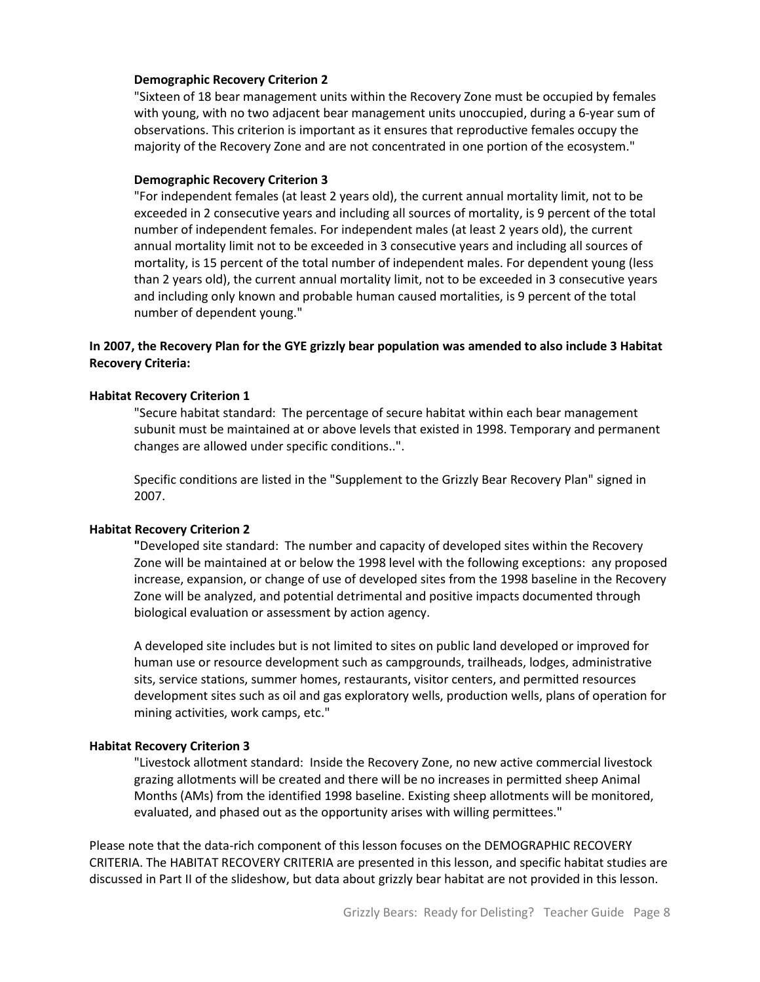#### **Demographic Recovery Criterion 2**

"Sixteen of 18 bear management units within the Recovery Zone must be occupied by females with young, with no two adjacent bear management units unoccupied, during a 6-year sum of observations. This criterion is important as it ensures that reproductive females occupy the majority of the Recovery Zone and are not concentrated in one portion of the ecosystem."

#### **Demographic Recovery Criterion 3**

"For independent females (at least 2 years old), the current annual mortality limit, not to be exceeded in 2 consecutive years and including all sources of mortality, is 9 percent of the total number of independent females. For independent males (at least 2 years old), the current annual mortality limit not to be exceeded in 3 consecutive years and including all sources of mortality, is 15 percent of the total number of independent males. For dependent young (less than 2 years old), the current annual mortality limit, not to be exceeded in 3 consecutive years and including only known and probable human caused mortalities, is 9 percent of the total number of dependent young."

### **In 2007, the Recovery Plan for the GYE grizzly bear population was amended to also include 3 Habitat Recovery Criteria:**

#### **Habitat Recovery Criterion 1**

"Secure habitat standard: The percentage of secure habitat within each bear management subunit must be maintained at or above levels that existed in 1998. Temporary and permanent changes are allowed under specific conditions..".

Specific conditions are listed in the "Supplement to the Grizzly Bear Recovery Plan" signed in 2007.

#### **Habitat Recovery Criterion 2**

**"**Developed site standard: The number and capacity of developed sites within the Recovery Zone will be maintained at or below the 1998 level with the following exceptions: any proposed increase, expansion, or change of use of developed sites from the 1998 baseline in the Recovery Zone will be analyzed, and potential detrimental and positive impacts documented through biological evaluation or assessment by action agency.

A developed site includes but is not limited to sites on public land developed or improved for human use or resource development such as campgrounds, trailheads, lodges, administrative sits, service stations, summer homes, restaurants, visitor centers, and permitted resources development sites such as oil and gas exploratory wells, production wells, plans of operation for mining activities, work camps, etc."

#### **Habitat Recovery Criterion 3**

"Livestock allotment standard: Inside the Recovery Zone, no new active commercial livestock grazing allotments will be created and there will be no increases in permitted sheep Animal Months (AMs) from the identified 1998 baseline. Existing sheep allotments will be monitored, evaluated, and phased out as the opportunity arises with willing permittees."

Please note that the data-rich component of this lesson focuses on the DEMOGRAPHIC RECOVERY CRITERIA. The HABITAT RECOVERY CRITERIA are presented in this lesson, and specific habitat studies are discussed in Part II of the slideshow, but data about grizzly bear habitat are not provided in this lesson.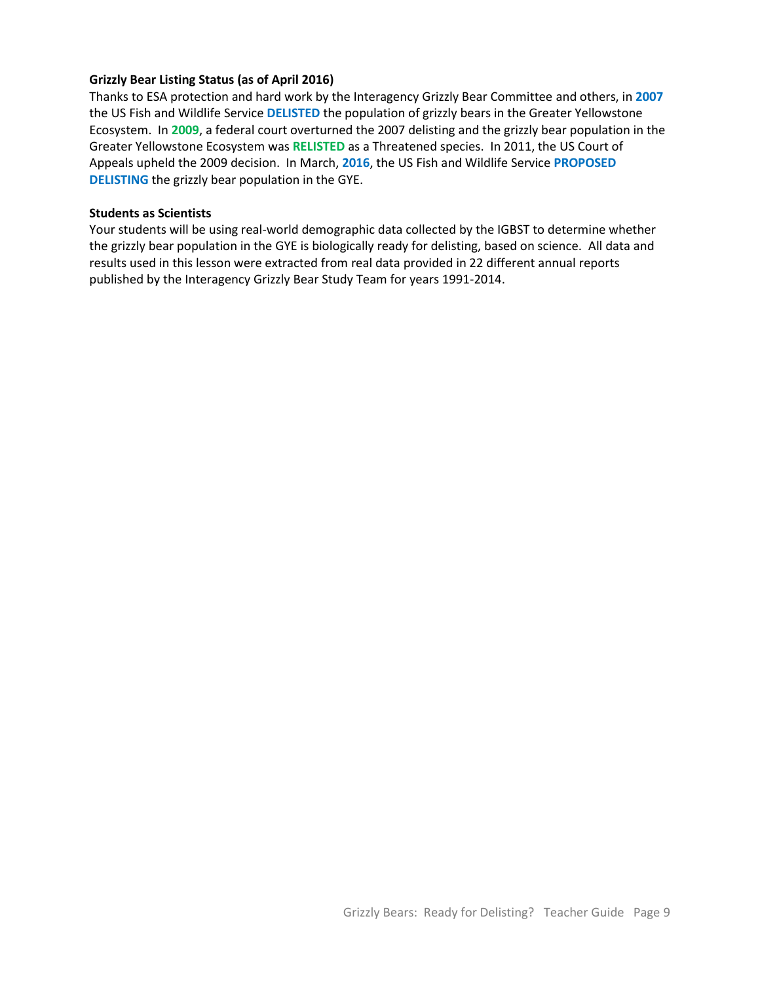### **Grizzly Bear Listing Status (as of April 2016)**

Thanks to ESA protection and hard work by the Interagency Grizzly Bear Committee and others, in **2007** the US Fish and Wildlife Service **DELISTED** the population of grizzly bears in the Greater Yellowstone Ecosystem. In **2009**, a federal court overturned the 2007 delisting and the grizzly bear population in the Greater Yellowstone Ecosystem was **RELISTED** as a Threatened species. In 2011, the US Court of Appeals upheld the 2009 decision. In March, **2016**, the US Fish and Wildlife Service **PROPOSED DELISTING** the grizzly bear population in the GYE.

#### **Students as Scientists**

Your students will be using real-world demographic data collected by the IGBST to determine whether the grizzly bear population in the GYE is biologically ready for delisting, based on science. All data and results used in this lesson were extracted from real data provided in 22 different annual reports published by the Interagency Grizzly Bear Study Team for years 1991-2014.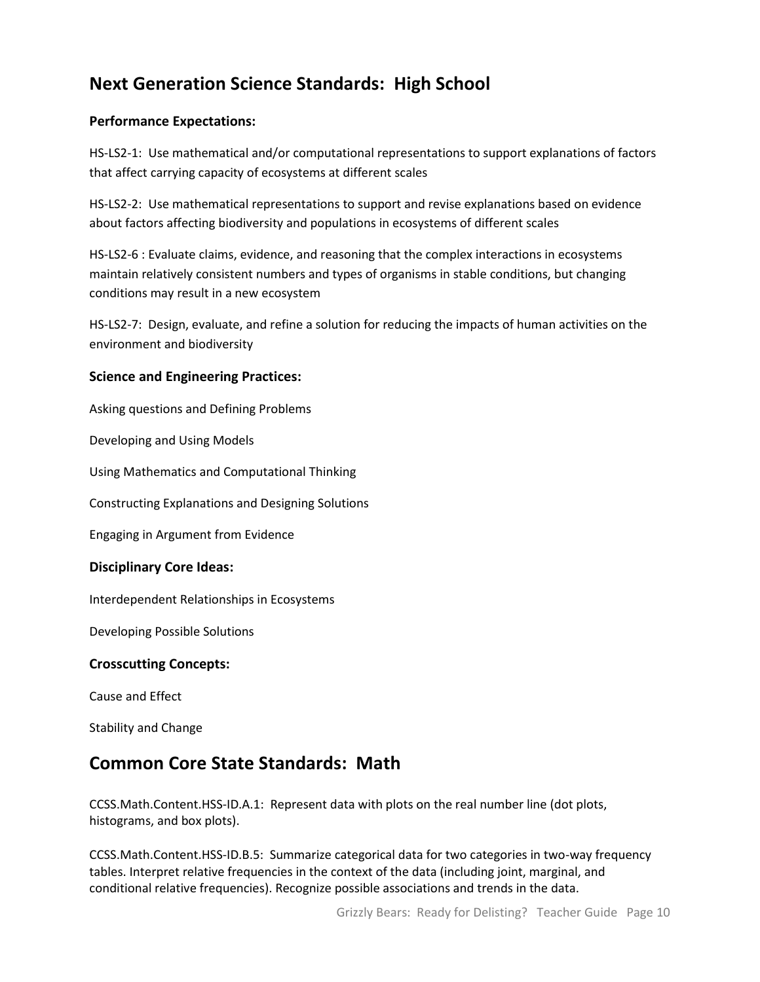# **Next Generation Science Standards: High School**

### **Performance Expectations:**

HS-LS2-1: Use mathematical and/or computational representations to support explanations of factors that affect carrying capacity of ecosystems at different scales

HS-LS2-2: Use mathematical representations to support and revise explanations based on evidence about factors affecting biodiversity and populations in ecosystems of different scales

HS-LS2-6 : Evaluate claims, evidence, and reasoning that the complex interactions in ecosystems maintain relatively consistent numbers and types of organisms in stable conditions, but changing conditions may result in a new ecosystem

HS-LS2-7: Design, evaluate, and refine a solution for reducing the impacts of human activities on the environment and biodiversity

### **Science and Engineering Practices:**

Asking questions and Defining Problems

Developing and Using Models

Using Mathematics and Computational Thinking

Constructing Explanations and Designing Solutions

Engaging in Argument from Evidence

### **Disciplinary Core Ideas:**

Interdependent Relationships in Ecosystems

Developing Possible Solutions

### **Crosscutting Concepts:**

Cause and Effect

Stability and Change

# **Common Core State Standards: Math**

[CCSS.Math.Content.HSS-ID.A.1:](http://www.corestandards.org/Math/Content/HSS/ID/A/1) Represent data with plots on the real number line (dot plots, histograms, and box plots).

[CCSS.Math.Content.HSS-ID.B.5:](http://www.corestandards.org/Math/Content/HSS/ID/B/5) Summarize categorical data for two categories in two-way frequency tables. Interpret relative frequencies in the context of the data (including joint, marginal, and conditional relative frequencies). Recognize possible associations and trends in the data.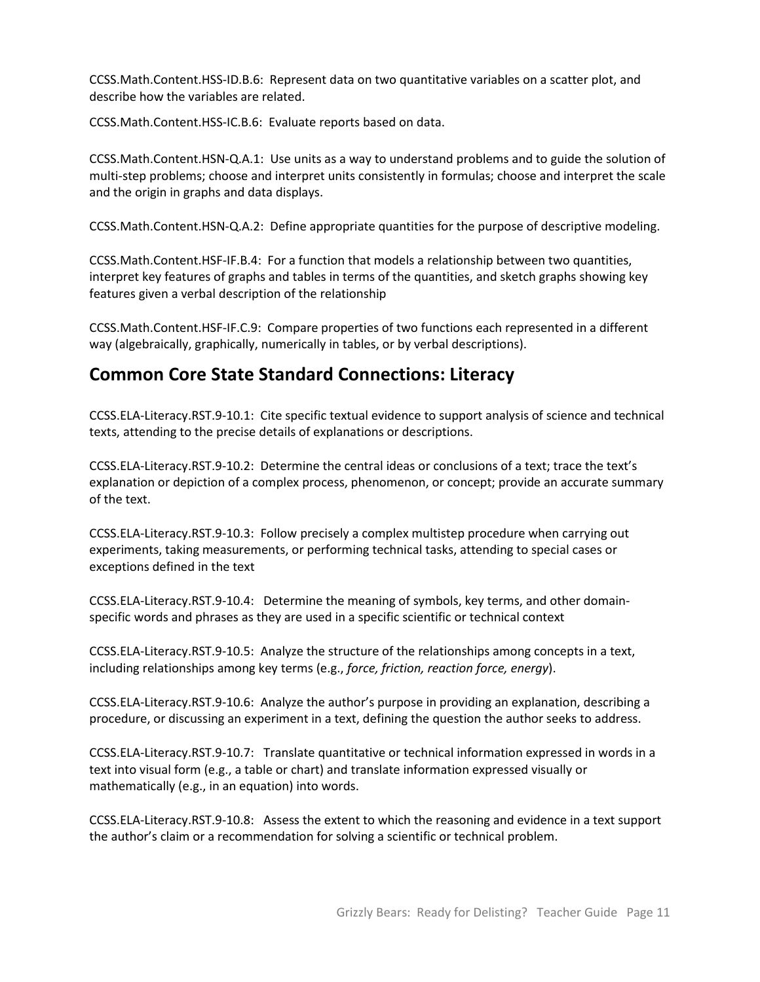[CCSS.Math.Content.HSS-ID.B.6:](http://www.corestandards.org/Math/Content/HSS/ID/B/6) Represent data on two quantitative variables on a scatter plot, and describe how the variables are related.

[CCSS.Math.Content.HSS-IC.B.6:](http://www.corestandards.org/Math/Content/HSS/IC/B/6) Evaluate reports based on data.

[CCSS.Math.Content.HSN-Q.A.1:](http://www.corestandards.org/Math/Content/HSN/Q/A/1) Use units as a way to understand problems and to guide the solution of multi-step problems; choose and interpret units consistently in formulas; choose and interpret the scale and the origin in graphs and data displays.

[CCSS.Math.Content.HSN-Q.A.2:](http://www.corestandards.org/Math/Content/HSN/Q/A/2) Define appropriate quantities for the purpose of descriptive modeling.

[CCSS.Math.Content.HSF-IF.B.4:](http://www.corestandards.org/Math/Content/HSF/IF/B/4) For a function that models a relationship between two quantities, interpret key features of graphs and tables in terms of the quantities, and sketch graphs showing key features given a verbal description of the relationship

[CCSS.Math.Content.HSF-IF.C.9:](http://www.corestandards.org/Math/Content/HSF/IF/C/9) Compare properties of two functions each represented in a different way (algebraically, graphically, numerically in tables, or by verbal descriptions).

# **Common Core State Standard Connections: Literacy**

[CCSS.ELA-Literacy.RST.9-10.1:](http://www.corestandards.org/ELA-Literacy/RST/9-10/1/) Cite specific textual evidence to support analysis of science and technical texts, attending to the precise details of explanations or descriptions.

[CCSS.ELA-Literacy.RST.9-10.2:](http://www.corestandards.org/ELA-Literacy/RST/9-10/2/) Determine the central ideas or conclusions of a text; trace the text's explanation or depiction of a complex process, phenomenon, or concept; provide an accurate summary of the text.

[CCSS.ELA-Literacy.RST.9-10.3:](http://www.corestandards.org/ELA-Literacy/RST/9-10/3/) Follow precisely a complex multistep procedure when carrying out experiments, taking measurements, or performing technical tasks, attending to special cases or exceptions defined in the text

[CCSS.ELA-Literacy.RST.9-10.4:](http://www.corestandards.org/ELA-Literacy/RST/9-10/4/) Determine the meaning of symbols, key terms, and other domainspecific words and phrases as they are used in a specific scientific or technical context

[CCSS.ELA-Literacy.RST.9-10.5:](http://www.corestandards.org/ELA-Literacy/RST/9-10/5/) Analyze the structure of the relationships among concepts in a text, including relationships among key terms (e.g., *force, friction, reaction force, energy*).

[CCSS.ELA-Literacy.RST.9-10.6:](http://www.corestandards.org/ELA-Literacy/RST/9-10/6/) Analyze the author's purpose in providing an explanation, describing a procedure, or discussing an experiment in a text, defining the question the author seeks to address.

[CCSS.ELA-Literacy.RST.9-10.7:](http://www.corestandards.org/ELA-Literacy/RST/9-10/7/) Translate quantitative or technical information expressed in words in a text into visual form (e.g., a table or chart) and translate information expressed visually or mathematically (e.g., in an equation) into words.

[CCSS.ELA-Literacy.RST.9-10.8:](http://www.corestandards.org/ELA-Literacy/RST/9-10/8/) Assess the extent to which the reasoning and evidence in a text support the author's claim or a recommendation for solving a scientific or technical problem.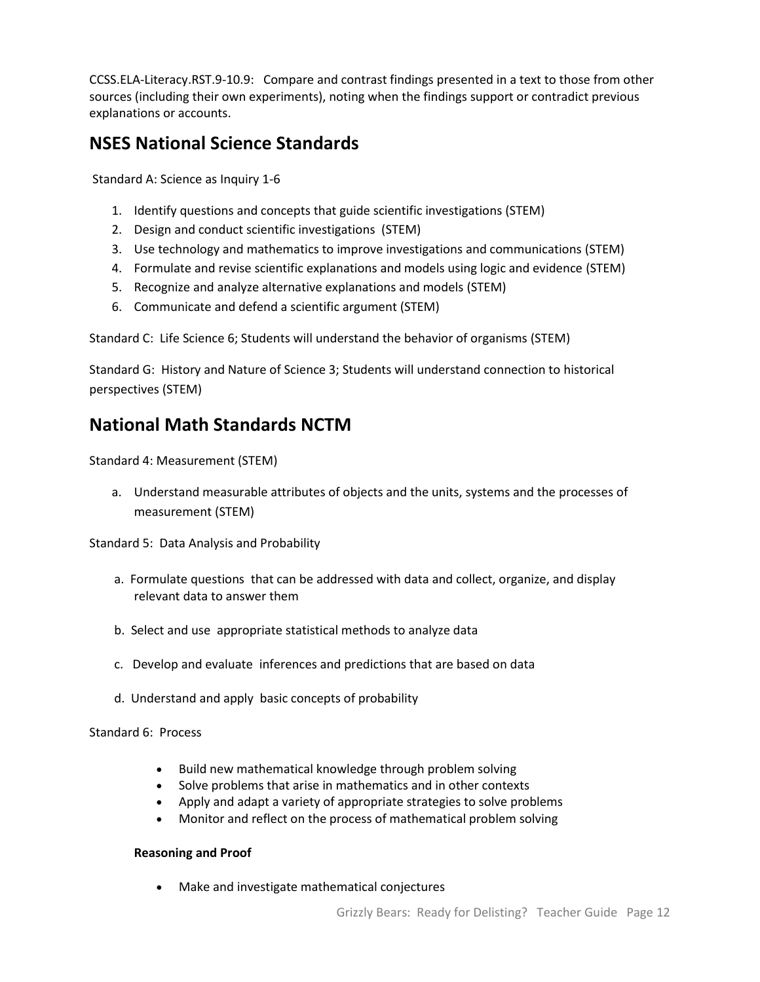[CCSS.ELA-Literacy.RST.9-10.9:](http://www.corestandards.org/ELA-Literacy/RST/9-10/9/) Compare and contrast findings presented in a text to those from other sources (including their own experiments), noting when the findings support or contradict previous explanations or accounts.

# **NSES National Science Standards**

Standard A: Science as Inquiry 1-6

- 1. Identify questions and concepts that guide scientific investigations (STEM)
- 2. Design and conduct scientific investigations (STEM)
- 3. Use technology and mathematics to improve investigations and communications (STEM)
- 4. Formulate and revise scientific explanations and models using logic and evidence (STEM)
- 5. Recognize and analyze alternative explanations and models (STEM)
- 6. Communicate and defend a scientific argument (STEM)

Standard C: Life Science 6; Students will understand the behavior of organisms (STEM)

Standard G: History and Nature of Science 3; Students will understand connection to historical perspectives (STEM)

# **National Math Standards NCTM**

Standard 4: Measurement (STEM)

a. Understand measurable attributes of objects and the units, systems and the processes of measurement (STEM)

Standard 5: Data Analysis and Probability

- a. [Formulate questions](http://www.nctm.org/standards/content.aspx?id=318#formulate) that can be addressed with data and collect, organize, and display relevant data to answer them
- b. [Select and use](http://www.nctm.org/standards/content.aspx?id=318#select) appropriate statistical methods to analyze data
- c. [Develop and evaluate](http://www.nctm.org/standards/content.aspx?id=318#develop) inferences and predictions that are based on data
- d. [Understand and apply](http://www.nctm.org/standards/content.aspx?id=318#understand) basic concepts of probability

Standard 6: Process

- Build new mathematical knowledge through problem solving
- Solve problems that arise in mathematics and in other contexts
- Apply and adapt a variety of appropriate strategies to solve problems
- Monitor and reflect on the process of mathematical problem solving

### **Reasoning and Proof**

Make and investigate mathematical conjectures